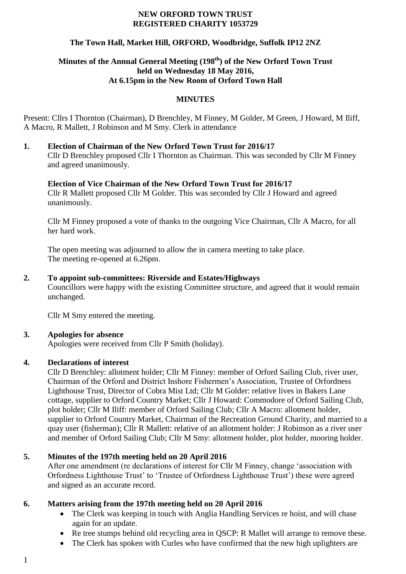#### **NEW ORFORD TOWN TRUST REGISTERED CHARITY 1053729**

# **The Town Hall, Market Hill, ORFORD, Woodbridge, Suffolk IP12 2NZ**

# **Minutes of the Annual General Meeting (198 th) of the New Orford Town Trust held on Wednesday 18 May 2016, At 6.15pm in the New Room of Orford Town Hall**

# **MINUTES**

Present: Cllrs I Thornton (Chairman), D Brenchley, M Finney, M Golder, M Green, J Howard, M Iliff, A Macro, R Mallett, J Robinson and M Smy. Clerk in attendance

**1. Election of Chairman of the New Orford Town Trust for 2016/17** Cllr D Brenchley proposed Cllr I Thornton as Chairman. This was seconded by Cllr M Finney and agreed unanimously.

# **Election of Vice Chairman of the New Orford Town Trust for 2016/17**

Cllr R Mallett proposed Cllr M Golder. This was seconded by Cllr J Howard and agreed unanimously.

Cllr M Finney proposed a vote of thanks to the outgoing Vice Chairman, Cllr A Macro, for all her hard work.

The open meeting was adjourned to allow the in camera meeting to take place. The meeting re-opened at 6.26pm.

#### **2. To appoint sub-committees: Riverside and Estates/Highways**

Councillors were happy with the existing Committee structure, and agreed that it would remain unchanged.

Cllr M Smy entered the meeting.

# **3. Apologies for absence**

Apologies were received from Cllr P Smith (holiday).

# **4. Declarations of interest**

Cllr D Brenchley: allotment holder; Cllr M Finney: member of Orford Sailing Club, river user, Chairman of the Orford and District Inshore Fishermen's Association, Trustee of Orfordness Lighthouse Trust, Director of Cobra Mist Ltd; Cllr M Golder: relative lives in Bakers Lane cottage, supplier to Orford Country Market; Cllr J Howard: Commodore of Orford Sailing Club, plot holder; Cllr M Iliff: member of Orford Sailing Club; Cllr A Macro: allotment holder, supplier to Orford Country Market, Chairman of the Recreation Ground Charity, and married to a quay user (fisherman); Cllr R Mallett: relative of an allotment holder: J Robinson as a river user and member of Orford Sailing Club; Cllr M Smy: allotment holder, plot holder, mooring holder.

# **5. Minutes of the 197th meeting held on 20 April 2016**

After one amendment (re declarations of interest for Cllr M Finney, change 'association with Orfordness Lighthouse Trust' to 'Trustee of Orfordness Lighthouse Trust') these were agreed and signed as an accurate record.

# **6. Matters arising from the 197th meeting held on 20 April 2016**

- The Clerk was keeping in touch with Anglia Handling Services re hoist, and will chase again for an update.
- Re tree stumps behind old recycling area in QSCP: R Mallet will arrange to remove these.
- The Clerk has spoken with Curles who have confirmed that the new high uplighters are